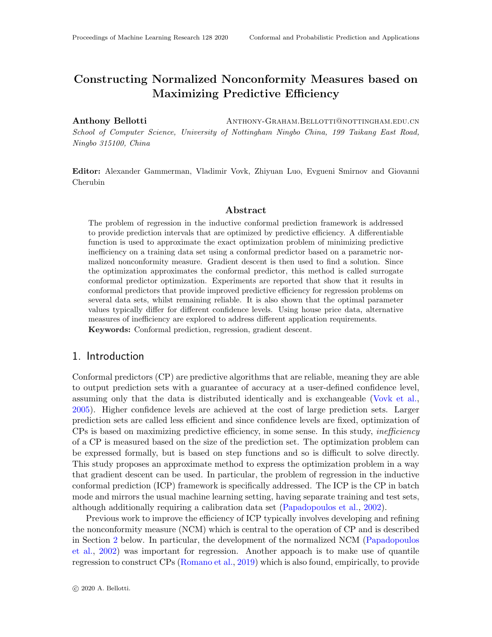# Constructing Normalized Nonconformity Measures based on Maximizing Predictive Efficiency

Anthony Bellotti ANTHONY-GRAHAM.BELLOTTI@NOTTINGHAM.EDU.CN School of Computer Science, University of Nottingham Ningbo China, 199 Taikang East Road, Ningbo 315100, China

Editor: Alexander Gammerman, Vladimir Vovk, Zhiyuan Luo, Evgueni Smirnov and Giovanni Cherubin

#### Abstract

The problem of regression in the inductive conformal prediction framework is addressed to provide prediction intervals that are optimized by predictive efficiency. A differentiable function is used to approximate the exact optimization problem of minimizing predictive inefficiency on a training data set using a conformal predictor based on a parametric normalized nonconformity measure. Gradient descent is then used to find a solution. Since the optimization approximates the conformal predictor, this method is called surrogate conformal predictor optimization. Experiments are reported that show that it results in conformal predictors that provide improved predictive efficiency for regression problems on several data sets, whilst remaining reliable. It is also shown that the optimal parameter values typically differ for different confidence levels. Using house price data, alternative measures of inefficiency are explored to address different application requirements. Keywords: Conformal prediction, regression, gradient descent.

#### 1. Introduction

Conformal predictors (CP) are predictive algorithms that are reliable, meaning they are able to output prediction sets with a guarantee of accuracy at a user-defined confidence level, assuming only that the data is distributed identically and is exchangeable [\(Vovk et al.,](#page-13-0) [2005\)](#page-13-0). Higher confidence levels are achieved at the cost of large prediction sets. Larger prediction sets are called less efficient and since confidence levels are fixed, optimization of CPs is based on maximizing predictive efficiency, in some sense. In this study, inefficiency of a CP is measured based on the size of the prediction set. The optimization problem can be expressed formally, but is based on step functions and so is difficult to solve directly. This study proposes an approximate method to express the optimization problem in a way that gradient descent can be used. In particular, the problem of regression in the inductive conformal prediction (ICP) framework is specifically addressed. The ICP is the CP in batch mode and mirrors the usual machine learning setting, having separate training and test sets, although additionally requiring a calibration data set [\(Papadopoulos et al.,](#page-13-1) [2002\)](#page-13-1).

Previous work to improve the efficiency of ICP typically involves developing and refining the nonconformity measure (NCM) which is central to the operation of CP and is described in Section [2](#page-2-0) below. In particular, the development of the normalized NCM [\(Papadopoulos](#page-13-1) [et al.,](#page-13-1) [2002\)](#page-13-1) was important for regression. Another appoach is to make use of quantile regression to construct CPs [\(Romano et al.,](#page-13-2) [2019\)](#page-13-2) which is also found, empirically, to provide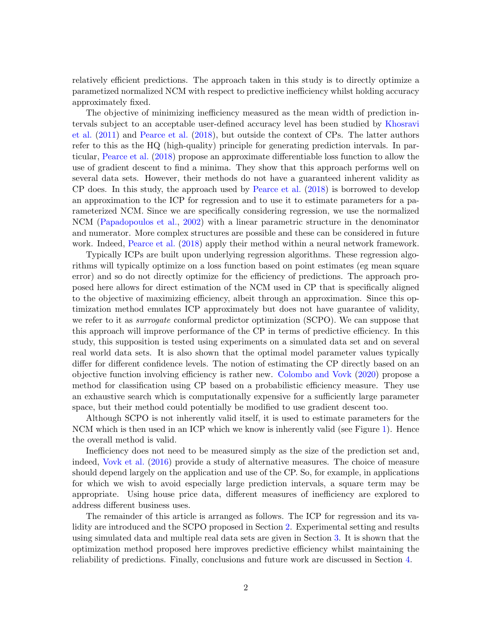relatively efficient predictions. The approach taken in this study is to directly optimize a parametized normalized NCM with respect to predictive inefficiency whilst holding accuracy approximately fixed.

The objective of minimizing inefficiency measured as the mean width of prediction intervals subject to an acceptable user-defined accuracy level has been studied by [Khosravi](#page-13-3) [et al.](#page-13-3) [\(2011\)](#page-13-3) and [Pearce et al.](#page-13-4) [\(2018\)](#page-13-4), but outside the context of CPs. The latter authors refer to this as the HQ (high-quality) principle for generating prediction intervals. In particular, [Pearce et al.](#page-13-4) [\(2018\)](#page-13-4) propose an approximate differentiable loss function to allow the use of gradient descent to find a minima. They show that this approach performs well on several data sets. However, their methods do not have a guaranteed inherent validity as CP does. In this study, the approach used by [Pearce et al.](#page-13-4) [\(2018\)](#page-13-4) is borrowed to develop an approximation to the ICP for regression and to use it to estimate parameters for a parameterized NCM. Since we are specifically considering regression, we use the normalized NCM [\(Papadopoulos et al.,](#page-13-1) [2002\)](#page-13-1) with a linear parametric structure in the denominator and numerator. More complex structures are possible and these can be considered in future work. Indeed, [Pearce et al.](#page-13-4) [\(2018\)](#page-13-4) apply their method within a neural network framework.

Typically ICPs are built upon underlying regression algorithms. These regression algorithms will typically optimize on a loss function based on point estimates (eg mean square error) and so do not directly optimize for the efficiency of predictions. The approach proposed here allows for direct estimation of the NCM used in CP that is specifically aligned to the objective of maximizing efficiency, albeit through an approximation. Since this optimization method emulates ICP approximately but does not have guarantee of validity, we refer to it as *surrogate* conformal predictor optimization (SCPO). We can suppose that this approach will improve performance of the CP in terms of predictive efficiency. In this study, this supposition is tested using experiments on a simulated data set and on several real world data sets. It is also shown that the optimal model parameter values typically differ for different confidence levels. The notion of estimating the CP directly based on an objective function involving efficiency is rather new. [Colombo and Vovk](#page-13-5) [\(2020\)](#page-13-5) propose a method for classification using CP based on a probabilistic efficiency measure. They use an exhaustive search which is computationally expensive for a sufficiently large parameter space, but their method could potentially be modified to use gradient descent too.

Although SCPO is not inherently valid itself, it is used to estimate parameters for the NCM which is then used in an ICP which we know is inherently valid (see Figure [1\)](#page-5-0). Hence the overall method is valid.

Inefficiency does not need to be measured simply as the size of the prediction set and, indeed, [Vovk et al.](#page-13-6) [\(2016\)](#page-13-6) provide a study of alternative measures. The choice of measure should depend largely on the application and use of the CP. So, for example, in applications for which we wish to avoid especially large prediction intervals, a square term may be appropriate. Using house price data, different measures of inefficiency are explored to address different business uses.

The remainder of this article is arranged as follows. The ICP for regression and its validity are introduced and the SCPO proposed in Section [2.](#page-2-0) Experimental setting and results using simulated data and multiple real data sets are given in Section [3.](#page-6-0) It is shown that the optimization method proposed here improves predictive efficiency whilst maintaining the reliability of predictions. Finally, conclusions and future work are discussed in Section [4.](#page-12-0)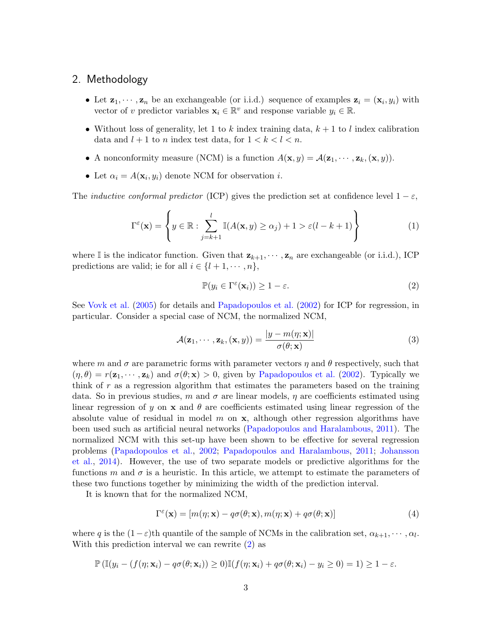#### <span id="page-2-0"></span>2. Methodology

- Let  $z_1, \dots, z_n$  be an exchangeable (or i.i.d.) sequence of examples  $z_i = (x_i, y_i)$  with vector of v predictor variables  $\mathbf{x}_i \in \mathbb{R}^v$  and response variable  $y_i \in \mathbb{R}$ .
- Without loss of generality, let 1 to k index training data,  $k + 1$  to l index calibration data and  $l + 1$  to n index test data, for  $1 < k < l < n$ .
- A nonconformity measure (NCM) is a function  $A(\mathbf{x}, y) = A(\mathbf{z}_1, \dots, \mathbf{z}_k, (\mathbf{x}, y)).$
- Let  $\alpha_i = A(\mathbf{x}_i, y_i)$  denote NCM for observation *i*.

The *inductive conformal predictor* (ICP) gives the prediction set at confidence level  $1 - \varepsilon$ ,

<span id="page-2-4"></span>
$$
\Gamma^{\varepsilon}(\mathbf{x}) = \left\{ y \in \mathbb{R} : \sum_{j=k+1}^{l} \mathbb{I}(A(\mathbf{x}, y) \ge \alpha_j) + 1 > \varepsilon(l - k + 1) \right\}
$$
(1)

where I is the indicator function. Given that  $\mathbf{z}_{k+1}, \dots, \mathbf{z}_n$  are exchangeable (or i.i.d.), ICP predictions are valid; ie for all  $i \in \{l + 1, \cdots, n\},\$ 

<span id="page-2-1"></span>
$$
\mathbb{P}(y_i \in \Gamma^{\varepsilon}(\mathbf{x}_i)) \ge 1 - \varepsilon. \tag{2}
$$

See [Vovk et al.](#page-13-0) [\(2005\)](#page-13-0) for details and [Papadopoulos et al.](#page-13-1) [\(2002\)](#page-13-1) for ICP for regression, in particular. Consider a special case of NCM, the normalized NCM,

<span id="page-2-3"></span>
$$
\mathcal{A}(\mathbf{z}_1,\cdots,\mathbf{z}_k,(\mathbf{x},y)) = \frac{|y-m(\eta;\mathbf{x})|}{\sigma(\theta;\mathbf{x})}
$$
(3)

where m and  $\sigma$  are parametric forms with parameter vectors  $\eta$  and  $\theta$  respectively, such that  $(\eta, \theta) = r(\mathbf{z}_1, \dots, \mathbf{z}_k)$  and  $\sigma(\theta; \mathbf{x}) > 0$ , given by [Papadopoulos et al.](#page-13-1) [\(2002\)](#page-13-1). Typically we think of  $r$  as a regression algorithm that estimates the parameters based on the training data. So in previous studies, m and  $\sigma$  are linear models,  $\eta$  are coefficients estimated using linear regression of y on  $x$  and  $\theta$  are coefficients estimated using linear regression of the absolute value of residual in model  $m$  on  $x$ , although other regression algorithms have been used such as artificial neural networks [\(Papadopoulos and Haralambous,](#page-13-7) [2011\)](#page-13-7). The normalized NCM with this set-up have been shown to be effective for several regression problems [\(Papadopoulos et al.,](#page-13-1) [2002;](#page-13-1) [Papadopoulos and Haralambous,](#page-13-7) [2011;](#page-13-7) [Johansson](#page-13-8) [et al.,](#page-13-8) [2014\)](#page-13-8). However, the use of two separate models or predictive algorithms for the functions m and  $\sigma$  is a heuristic. In this article, we attempt to estimate the parameters of these two functions together by minimizing the width of the prediction interval.

It is known that for the normalized NCM,

<span id="page-2-2"></span>
$$
\Gamma^{\varepsilon}(\mathbf{x}) = [m(\eta; \mathbf{x}) - q\sigma(\theta; \mathbf{x}), m(\eta; \mathbf{x}) + q\sigma(\theta; \mathbf{x})]
$$
\n(4)

where q is the  $(1 - \varepsilon)$ th quantile of the sample of NCMs in the calibration set,  $\alpha_{k+1}, \dots, \alpha_l$ . With this prediction interval we can rewrite  $(2)$  as

$$
\mathbb{P}\left(\mathbb{I}(y_i - (f(\eta; \mathbf{x}_i) - q\sigma(\theta; \mathbf{x}_i)) \ge 0\right) \mathbb{I}(f(\eta; \mathbf{x}_i) + q\sigma(\theta; \mathbf{x}_i) - y_i \ge 0) = 1) \ge 1 - \varepsilon.
$$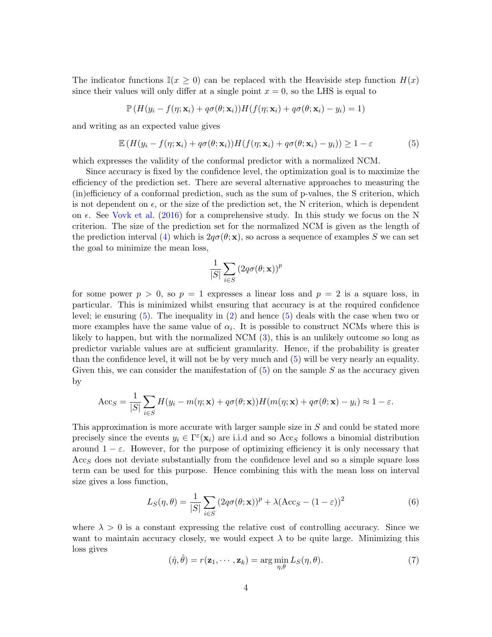The indicator functions  $\mathbb{I}(x > 0)$  can be replaced with the Heaviside step function  $H(x)$ since their values will only differ at a single point  $x = 0$ , so the LHS is equal to

$$
\mathbb{P}\left(H(y_i - f(\eta; \mathbf{x}_i) + q\sigma(\theta; \mathbf{x}_i))H(f(\eta; \mathbf{x}_i) + q\sigma(\theta; \mathbf{x}_i) - y_i\right) = 1\right)
$$

and writing as an expected value gives

<span id="page-3-0"></span>
$$
\mathbb{E}\left(H(y_i - f(\eta; \mathbf{x}_i) + q\sigma(\theta; \mathbf{x}_i))H(f(\eta; \mathbf{x}_i) + q\sigma(\theta; \mathbf{x}_i) - y_i)\right) \ge 1 - \varepsilon \tag{5}
$$

which expresses the validity of the conformal predictor with a normalized NCM.

Since accuracy is fixed by the confidence level, the optimization goal is to maximize the efficiency of the prediction set. There are several alternative approaches to measuring the (in)efficiency of a conformal prediction, such as the sum of p-values, the S criterion, which is not dependent on  $\epsilon$ , or the size of the prediction set, the N criterion, which is dependent on  $\epsilon$ . See [Vovk et al.](#page-13-6) [\(2016\)](#page-13-6) for a comprehensive study. In this study we focus on the N criterion. The size of the prediction set for the normalized NCM is given as the length of the prediction interval [\(4\)](#page-2-2) which is  $2q\sigma(\theta; \mathbf{x})$ , so across a sequence of examples S we can set the goal to minimize the mean loss,

$$
\frac{1}{|S|} \sum_{i \in S} \left( 2q \sigma(\theta; \mathbf{x}) \right)^p
$$

for some power  $p > 0$ , so  $p = 1$  expresses a linear loss and  $p = 2$  is a square loss, in particular. This is minimized whilst ensuring that accuracy is at the required confidence level; ie ensuring [\(5\)](#page-3-0). The inequality in [\(2\)](#page-2-1) and hence [\(5\)](#page-3-0) deals with the case when two or more examples have the same value of  $\alpha_i$ . It is possible to construct NCMs where this is likely to happen, but with the normalized NCM [\(3\)](#page-2-3), this is an unlikely outcome so long as predictor variable values are at sufficient granularity. Hence, if the probability is greater than the confidence level, it will not be by very much and [\(5\)](#page-3-0) will be very nearly an equality. Given this, we can consider the manifestation of  $(5)$  on the sample S as the accuracy given by

$$
Acc_S = \frac{1}{|S|} \sum_{i \in S} H(y_i - m(\eta; \mathbf{x}) + q\sigma(\theta; \mathbf{x})) H(m(\eta; \mathbf{x}) + q\sigma(\theta; \mathbf{x}) - y_i) \approx 1 - \varepsilon.
$$

This approximation is more accurate with larger sample size in S and could be stated more precisely since the events  $y_i \in \Gamma^{\varepsilon}(\mathbf{x}_i)$  are i.i.d and so Acc<sub>S</sub> follows a binomial distribution around  $1 - \varepsilon$ . However, for the purpose of optimizing efficiency it is only necessary that  $Acc<sub>S</sub>$  does not deviate substantially from the confidence level and so a simple square loss term can be used for this purpose. Hence combining this with the mean loss on interval size gives a loss function,

<span id="page-3-1"></span>
$$
L_S(\eta, \theta) = \frac{1}{|S|} \sum_{i \in S} (2q\sigma(\theta; \mathbf{x}))^p + \lambda (\text{Acc}_S - (1 - \varepsilon))^2
$$
(6)

where  $\lambda > 0$  is a constant expressing the relative cost of controlling accuracy. Since we want to maintain accuracy closely, we would expect  $\lambda$  to be quite large. Minimizing this loss gives

<span id="page-3-2"></span>
$$
(\hat{\eta}, \hat{\theta}) = r(\mathbf{z}_1, \cdots, \mathbf{z}_k) = \arg\min_{\eta, \theta} L_S(\eta, \theta).
$$
 (7)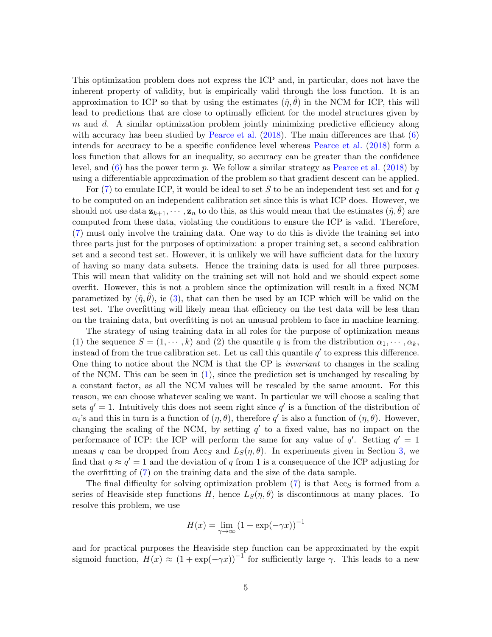This optimization problem does not express the ICP and, in particular, does not have the inherent property of validity, but is empirically valid through the loss function. It is an approximation to ICP so that by using the estimates  $(\hat{\eta}, \theta)$  in the NCM for ICP, this will lead to predictions that are close to optimally efficient for the model structures given by  $m$  and  $d$ . A similar optimization problem jointly minimizing predictive efficiency along with accuracy has been studied by [Pearce et al.](#page-13-4)  $(2018)$ . The main differences are that  $(6)$ intends for accuracy to be a specific confidence level whereas [Pearce et al.](#page-13-4) [\(2018\)](#page-13-4) form a loss function that allows for an inequality, so accuracy can be greater than the confidence level, and  $(6)$  has the power term p. We follow a similar strategy as [Pearce et al.](#page-13-4) [\(2018\)](#page-13-4) by using a differentiable approximation of the problem so that gradient descent can be applied.

For  $(7)$  to emulate ICP, it would be ideal to set S to be an independent test set and for q to be computed on an independent calibration set since this is what ICP does. However, we should not use data  $z_{k+1}, \dots, z_n$  to do this, as this would mean that the estimates  $(\hat{\eta}, \hat{\theta})$  are computed from these data, violating the conditions to ensure the ICP is valid. Therefore, [\(7\)](#page-3-2) must only involve the training data. One way to do this is divide the training set into three parts just for the purposes of optimization: a proper training set, a second calibration set and a second test set. However, it is unlikely we will have sufficient data for the luxury of having so many data subsets. Hence the training data is used for all three purposes. This will mean that validity on the training set will not hold and we should expect some overfit. However, this is not a problem since the optimization will result in a fixed NCM parametized by  $(\hat{\eta}, \theta)$ , ie [\(3\)](#page-2-3), that can then be used by an ICP which will be valid on the test set. The overfitting will likely mean that efficiency on the test data will be less than on the training data, but overfitting is not an unusual problem to face in machine learning.

The strategy of using training data in all roles for the purpose of optimization means (1) the sequence  $S = (1, \dots, k)$  and (2) the quantile q is from the distribution  $\alpha_1, \dots, \alpha_k$ , instead of from the true calibration set. Let us call this quantile  $q'$  to express this difference. One thing to notice about the NCM is that the CP is *invariant* to changes in the scaling of the NCM. This can be seen in [\(1\)](#page-2-4), since the prediction set is unchanged by rescaling by a constant factor, as all the NCM values will be rescaled by the same amount. For this reason, we can choose whatever scaling we want. In particular we will choose a scaling that sets  $q' = 1$ . Intuitively this does not seem right since  $q'$  is a function of the distribution of  $\alpha_i$ 's and this in turn is a function of  $(\eta, \theta)$ , therefore q' is also a function of  $(\eta, \theta)$ . However, changing the scaling of the NCM, by setting  $q'$  to a fixed value, has no impact on the performance of ICP: the ICP will perform the same for any value of  $q'$ . Setting  $q' = 1$ means q can be dropped from Acc<sub>S</sub> and  $L_S(\eta, \theta)$ . In experiments given in Section [3,](#page-6-0) we find that  $q \approx q' = 1$  and the deviation of q from 1 is a consequence of the ICP adjusting for the overfitting of [\(7\)](#page-3-2) on the training data and the size of the data sample.

The final difficulty for solving optimization problem  $(7)$  is that  $Acc<sub>S</sub>$  is formed from a series of Heaviside step functions H, hence  $L_S(\eta, \theta)$  is discontinuous at many places. To resolve this problem, we use

$$
H(x) = \lim_{\gamma \to \infty} (1 + \exp(-\gamma x))^{-1}
$$

and for practical purposes the Heaviside step function can be approximated by the expit sigmoid function,  $H(x) \approx (1 + \exp(-\gamma x))^{-1}$  for sufficiently large  $\gamma$ . This leads to a new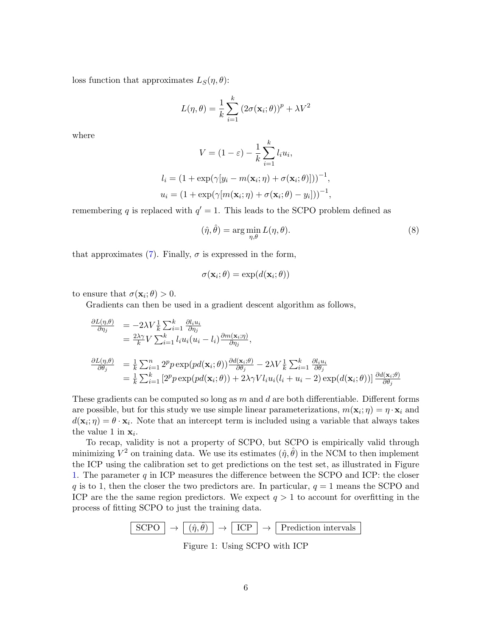loss function that approximates  $L_S(\eta, \theta)$ :

$$
L(\eta, \theta) = \frac{1}{k} \sum_{i=1}^{k} (2\sigma(\mathbf{x}_i; \theta))^p + \lambda V^2
$$

where

$$
V = (1 - \varepsilon) - \frac{1}{k} \sum_{i=1}^{k} l_i u_i,
$$

$$
l_i = (1 + \exp(\gamma[y_i - m(\mathbf{x}_i; \eta) + \sigma(\mathbf{x}_i; \theta)]))^{-1},
$$
  

$$
u_i = (1 + \exp(\gamma[m(\mathbf{x}_i; \eta) + \sigma(\mathbf{x}_i; \theta) - y_i]))^{-1},
$$

remembering q is replaced with  $q' = 1$ . This leads to the SCPO problem defined as

$$
(\hat{\eta}, \hat{\theta}) = \arg\min_{\eta, \theta} L(\eta, \theta).
$$
\n(8)

that approximates [\(7\)](#page-3-2). Finally,  $\sigma$  is expressed in the form,

$$
\sigma(\mathbf{x}_i;\theta) = \exp(d(\mathbf{x}_i;\theta))
$$

to ensure that  $\sigma(\mathbf{x}_i;\theta) > 0$ .

Gradients can then be used in a gradient descent algorithm as follows,

$$
\frac{\partial L(\eta,\theta)}{\partial \eta_j} = -2\lambda V \frac{1}{k} \sum_{i=1}^k \frac{\partial_{i} u_i}{\partial \eta_j} \n= \frac{2\lambda \gamma}{k} V \sum_{i=1}^k l_i u_i (u_i - l_i) \frac{\partial m(\mathbf{x}_i; \eta)}{\partial \eta_j}, \n\frac{\partial L(\eta,\theta)}{\partial \theta_j} = \frac{1}{k} \sum_{i=1}^n 2^p p \exp(p d(\mathbf{x}_i; \theta)) \frac{\partial d(\mathbf{x}_i; \theta)}{\partial \theta_j} - 2\lambda V \frac{1}{k} \sum_{i=1}^k \frac{\partial l_i u_i}{\partial \theta_j} \n= \frac{1}{k} \sum_{i=1}^k \left[ 2^p p \exp(p d(\mathbf{x}_i; \theta)) + 2\lambda \gamma V l_i u_i (l_i + u_i - 2) \exp(d(\mathbf{x}_i; \theta)) \right] \frac{\partial d(\mathbf{x}_i; \theta)}{\partial \theta_j}
$$

These gradients can be computed so long as  $m$  and  $d$  are both differentiable. Different forms are possible, but for this study we use simple linear parameterizations,  $m(\mathbf{x}_i; \eta) = \eta \cdot \mathbf{x}_i$  and  $d(\mathbf{x}_i; \eta) = \theta \cdot \mathbf{x}_i$ . Note that an intercept term is included using a variable that always takes the value 1 in  $x_i$ .

To recap, validity is not a property of SCPO, but SCPO is empirically valid through minimizing  $V^2$  on training data. We use its estimates  $(\hat{\eta}, \hat{\theta})$  in the NCM to then implement the ICP using the calibration set to get predictions on the test set, as illustrated in Figure [1.](#page-5-0) The parameter  $q$  in ICP measures the difference between the SCPO and ICP: the closer q is to 1, then the closer the two predictors are. In particular,  $q = 1$  means the SCPO and ICP are the the same region predictors. We expect  $q > 1$  to account for overfitting in the process of fitting SCPO to just the training data.

$$
\boxed{\text{SCPO}} \rightarrow \boxed{(\hat{\eta}, \hat{\theta})} \rightarrow \boxed{\text{ICP}} \rightarrow \boxed{\text{ Prediction intervals}}
$$

<span id="page-5-0"></span>Figure 1: Using SCPO with ICP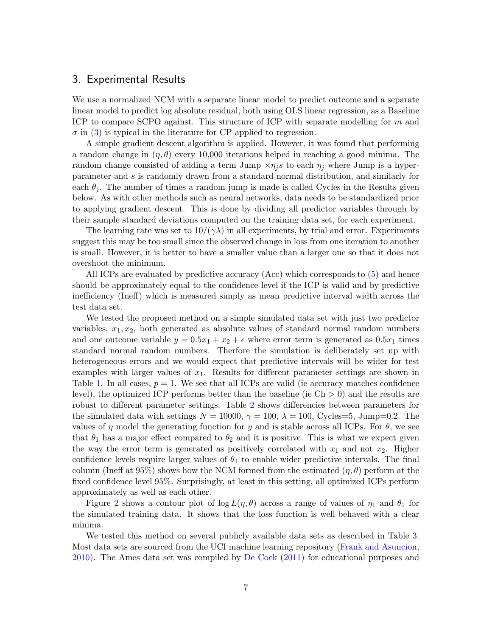### <span id="page-6-0"></span>3. Experimental Results

We use a normalized NCM with a separate linear model to predict outcome and a separate linear model to predict log absolute residual, both using OLS linear regression, as a Baseline ICP to compare SCPO against. This structure of ICP with separate modelling for m and  $\sigma$  in [\(3\)](#page-2-3) is typical in the literature for CP applied to regression.

A simple gradient descent algorithm is applied. However, it was found that performing a random change in  $(\eta, \theta)$  every 10,000 iterations helped in reaching a good minima. The random change consisted of adding a term Jump  $\times \eta_j s$  to each  $\eta_j$  where Jump is a hyperparameter and s is randomly drawn from a standard normal distribution, and similarly for each  $\theta_i$ . The number of times a random jump is made is called Cycles in the Results given below. As with other methods such as neural networks, data needs to be standardized prior to applying gradient descent. This is done by dividing all predictor variables through by their sample standard deviations computed on the training data set, for each experiment.

The learning rate was set to  $10/(\gamma\lambda)$  in all experiments, by trial and error. Experiments suggest this may be too small since the observed change in loss from one iteration to another is small. However, it is better to have a smaller value than a larger one so that it does not overshoot the minimum.

All ICPs are evaluated by predictive accuracy (Acc) which corresponds to [\(5\)](#page-3-0) and hence should be approximately equal to the confidence level if the ICP is valid and by predictive inefficiency (Ineff) which is measured simply as mean predictive interval width across the test data set.

We tested the proposed method on a simple simulated data set with just two predictor variables,  $x_1, x_2$ , both generated as absolute values of standard normal random numbers and one outcome variable  $y = 0.5x_1 + x_2 + \epsilon$  where error term is generated as  $0.5x_1$  times standard normal random numbers. Therfore the simulation is deliberately set up with heterogeneous errors and we would expect that predictive intervals will be wider for test examples with larger values of  $x_1$ . Results for different parameter settings are shown in Table [1.](#page-7-0) In all cases,  $p = 1$ . We see that all ICPs are valid (ie accuracy matches confidence level), the optimized ICP performs better than the baseline (ie  $\text{Ch} > 0$ ) and the results are robust to different parameter settings. Table [2](#page-7-1) shows differencies between parameters for the simulated data with settings  $N = 10000$ ,  $\gamma = 100$ ,  $\lambda = 100$ , Cycles=5, Jump=0.2. The values of  $\eta$  model the generating function for y and is stable across all ICPs. For  $\theta$ , we see that  $\theta_1$  has a major effect compared to  $\theta_2$  and it is positive. This is what we expect given the way the error term is generated as positively correlated with  $x_1$  and not  $x_2$ . Higher confidence levels require larger values of  $\theta_1$  to enable wider predictive intervals. The final column (Ineff at 95%) shows how the NCM formed from the estimated  $(\eta, \theta)$  perform at the fixed confidence level 95%. Surprisingly, at least in this setting, all optimized ICPs perform approximately as well as each other.

Figure [2](#page-8-0) shows a contour plot of  $\log L(\eta, \theta)$  across a range of values of  $\eta_1$  and  $\theta_1$  for the simulated training data. It shows that the loss function is well-behaved with a clear minima.

We tested this method on several publicly available data sets as described in Table [3.](#page-9-0) Most data sets are sourced from the UCI machine learning repository [\(Frank and Asuncion,](#page-13-9) [2010\)](#page-13-9). The Ames data set was compiled by [De Cock](#page-13-10) [\(2011\)](#page-13-10) for educational purposes and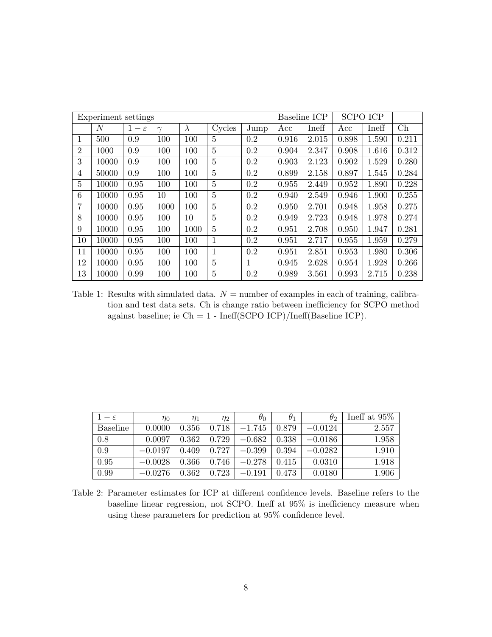| Experiment settings |                |                 |          |           |                | <b>SCPO ICP</b><br>Baseline ICP |       |       |       |       |       |
|---------------------|----------------|-----------------|----------|-----------|----------------|---------------------------------|-------|-------|-------|-------|-------|
|                     | $\overline{N}$ | $1-\varepsilon$ | $\gamma$ | $\lambda$ | Cycles         | Jump                            | Acc   | Ineff | Acc   | Ineff | Ch    |
| 1                   | 500            | 0.9             | 100      | 100       | $\overline{5}$ | 0.2                             | 0.916 | 2.015 | 0.898 | 1.590 | 0.211 |
| $\overline{2}$      | 1000           | 0.9             | 100      | 100       | $\overline{5}$ | 0.2                             | 0.904 | 2.347 | 0.908 | 1.616 | 0.312 |
| 3                   | 10000          | 0.9             | 100      | 100       | $\overline{5}$ | 0.2                             | 0.903 | 2.123 | 0.902 | 1.529 | 0.280 |
| $\overline{4}$      | 50000          | 0.9             | 100      | 100       | $\overline{5}$ | 0.2                             | 0.899 | 2.158 | 0.897 | 1.545 | 0.284 |
| 5                   | 10000          | 0.95            | 100      | 100       | $\overline{5}$ | 0.2                             | 0.955 | 2.449 | 0.952 | 1.890 | 0.228 |
| 6                   | 10000          | 0.95            | 10       | 100       | $\overline{5}$ | 0.2                             | 0.940 | 2.549 | 0.946 | 1.900 | 0.255 |
| 7                   | 10000          | 0.95            | 1000     | 100       | 5              | 0.2                             | 0.950 | 2.701 | 0.948 | 1.958 | 0.275 |
| 8                   | 10000          | 0.95            | 100      | 10        | $\overline{5}$ | 0.2                             | 0.949 | 2.723 | 0.948 | 1.978 | 0.274 |
| 9                   | 10000          | 0.95            | 100      | 1000      | 5              | 0.2                             | 0.951 | 2.708 | 0.950 | 1.947 | 0.281 |
| 10                  | 10000          | 0.95            | 100      | 100       | 1              | 0.2                             | 0.951 | 2.717 | 0.955 | 1.959 | 0.279 |
| 11                  | 10000          | 0.95            | 100      | 100       | 1              | 0.2                             | 0.951 | 2.851 | 0.953 | 1.980 | 0.306 |
| 12                  | 10000          | 0.95            | 100      | 100       | $\overline{5}$ | 1                               | 0.945 | 2.628 | 0.954 | 1.928 | 0.266 |
| 13                  | 10000          | 0.99            | 100      | 100       | 5              | 0.2                             | 0.989 | 3.561 | 0.993 | 2.715 | 0.238 |

<span id="page-7-0"></span>Table 1: Results with simulated data.  $N =$  number of examples in each of training, calibration and test data sets. Ch is change ratio between inefficiency for SCPO method against baseline; ie Ch = 1 - Ineff(SCPO ICP)/Ineff(Baseline ICP).

| $1-\varepsilon$ | $\eta_0$  | $\eta_1$ | $\eta_2$ | $\theta_0$ | $\theta_1$ | $\theta_2$ | Ineff at $95\%$ |
|-----------------|-----------|----------|----------|------------|------------|------------|-----------------|
| <b>Baseline</b> | 0.0000    | 0.356    | 0.718    | $-1.745$   | 0.879      | $-0.0124$  | 2.557           |
| 0.8             | 0.0097    | 0.362    | 0.729    | $-0.682$   | 0.338      | $-0.0186$  | 1.958           |
| 0.9             | $-0.0197$ | 0.409    | 0.727    | $-0.399$   | 0.394      | $-0.0282$  | 1.910           |
| 0.95            | $-0.0028$ | 0.366    | 0.746    | $-0.278$   | 0.415      | 0.0310     | 1.918           |
| 0.99            | $-0.0276$ | 0.362    | 0.723    | $-0.191$   | 0.473      | 0.0180     | 1.906           |

<span id="page-7-1"></span>Table 2: Parameter estimates for ICP at different confidence levels. Baseline refers to the baseline linear regression, not SCPO. Ineff at 95% is inefficiency measure when using these parameters for prediction at 95% confidence level.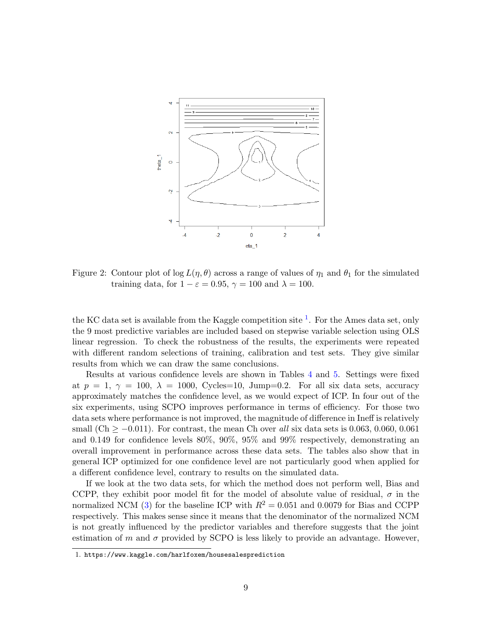

<span id="page-8-0"></span>Figure 2: Contour plot of log  $L(\eta, \theta)$  across a range of values of  $\eta_1$  and  $\theta_1$  for the simulated training data, for  $1 - \varepsilon = 0.95$ ,  $\gamma = 100$  and  $\lambda = 100$ .

the KC data set is available from the Kaggle competition site  $<sup>1</sup>$  $<sup>1</sup>$  $<sup>1</sup>$ . For the Ames data set, only</sup> the 9 most predictive variables are included based on stepwise variable selection using OLS linear regression. To check the robustness of the results, the experiments were repeated with different random selections of training, calibration and test sets. They give similar results from which we can draw the same conclusions.

Results at various confidence levels are shown in Tables [4](#page-10-0) and [5.](#page-11-0) Settings were fixed at  $p = 1, \gamma = 100, \lambda = 1000,$  Cycles=10, Jump=0.2. For all six data sets, accuracy approximately matches the confidence level, as we would expect of ICP. In four out of the six experiments, using SCPO improves performance in terms of efficiency. For those two data sets where performance is not improved, the magnitude of difference in Ineff is relatively small (Ch  $\geq -0.011$ ). For contrast, the mean Ch over all six data sets is 0.063, 0.060, 0.061 and 0.149 for confidence levels 80%, 90%, 95% and 99% respectively, demonstrating an overall improvement in performance across these data sets. The tables also show that in general ICP optimized for one confidence level are not particularly good when applied for a different confidence level, contrary to results on the simulated data.

If we look at the two data sets, for which the method does not perform well, Bias and CCPP, they exhibit poor model fit for the model of absolute value of residual,  $\sigma$  in the normalized NCM [\(3\)](#page-2-3) for the baseline ICP with  $R^2 = 0.051$  and 0.0079 for Bias and CCPP respectively. This makes sense since it means that the denominator of the normalized NCM is not greatly influenced by the predictor variables and therefore suggests that the joint estimation of m and  $\sigma$  provided by SCPO is less likely to provide an advantage. However,

<span id="page-8-1"></span><sup>1.</sup> https://www.kaggle.com/harlfoxem/housesalesprediction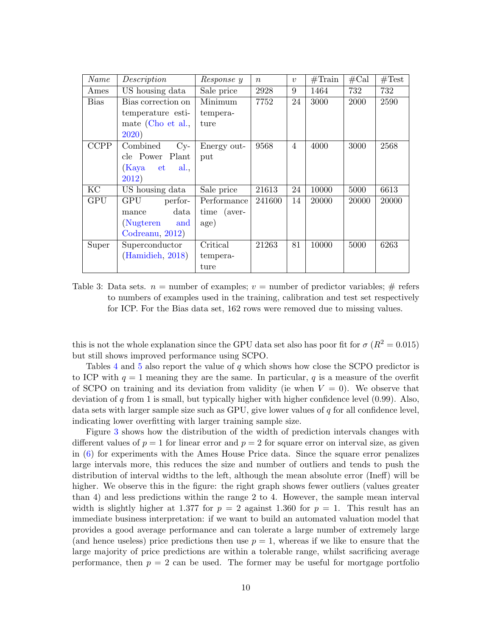| Name        | Description           | Response y  | $\boldsymbol{n}$ | $\boldsymbol{v}$ | $\#\text{Train}$ | #Cal  | #Test |
|-------------|-----------------------|-------------|------------------|------------------|------------------|-------|-------|
| Ames        | US housing data       | Sale price  | 2928             | 9                | 1464             | 732   | 732   |
| <b>Bias</b> | Bias correction on    | Minimum     | 7752             | 24               | 3000             | 2000  | 2590  |
|             | temperature esti-     | tempera-    |                  |                  |                  |       |       |
|             | mate (Cho et al.,     | ture        |                  |                  |                  |       |       |
|             | 2020)                 |             |                  |                  |                  |       |       |
| <b>CCPP</b> | Combined<br>$C_{y}$ - | Energy out- | 9568             | $\overline{4}$   | 4000             | 3000  | 2568  |
|             | Plant<br>cle Power    | put         |                  |                  |                  |       |       |
|             | (Kaya<br>al.,<br>et   |             |                  |                  |                  |       |       |
|             | 2012)                 |             |                  |                  |                  |       |       |
| KC          | US housing data       | Sale price  | 21613            | 24               | 10000            | 5000  | 6613  |
| <b>GPU</b>  | GPU<br>perfor-        | Performance | 241600           | 14               | 20000            | 20000 | 20000 |
|             | data<br>mance         | time (aver- |                  |                  |                  |       |       |
|             | (Nugteren<br>and      | age)        |                  |                  |                  |       |       |
|             | Codreanu, 2012)       |             |                  |                  |                  |       |       |
| Super       | Superconductor        | Critical    | 21263            | 81               | 10000            | 5000  | 6263  |
|             | (Hamidieh, 2018)      | tempera-    |                  |                  |                  |       |       |
|             |                       | ture        |                  |                  |                  |       |       |

<span id="page-9-0"></span>Table 3: Data sets.  $n =$  number of examples;  $v =$  number of predictor variables;  $\#$  refers to numbers of examples used in the training, calibration and test set respectively for ICP. For the Bias data set, 162 rows were removed due to missing values.

this is not the whole explanation since the GPU data set also has poor fit for  $\sigma$  ( $R^2 = 0.015$ ) but still shows improved performance using SCPO.

Tables [4](#page-10-0) and [5](#page-11-0) also report the value of q which shows how close the SCPO predictor is to ICP with  $q = 1$  meaning they are the same. In particular, q is a measure of the overfit of SCPO on training and its deviation from validity (ie when  $V = 0$ ). We observe that deviation of q from 1 is small, but typically higher with higher confidence level  $(0.99)$ . Also, data sets with larger sample size such as GPU, give lower values of  $q$  for all confidence level, indicating lower overfitting with larger training sample size.

Figure [3](#page-12-2) shows how the distribution of the width of prediction intervals changes with different values of  $p = 1$  for linear error and  $p = 2$  for square error on interval size, as given in [\(6\)](#page-3-1) for experiments with the Ames House Price data. Since the square error penalizes large intervals more, this reduces the size and number of outliers and tends to push the distribution of interval widths to the left, although the mean absolute error (Ineff) will be higher. We observe this in the figure: the right graph shows fewer outliers (values greater than 4) and less predictions within the range 2 to 4. However, the sample mean interval width is slightly higher at 1.377 for  $p = 2$  against 1.360 for  $p = 1$ . This result has an immediate business interpretation: if we want to build an automated valuation model that provides a good average performance and can tolerate a large number of extremely large (and hence useless) price predictions then use  $p = 1$ , whereas if we like to ensure that the large majority of price predictions are within a tolerable range, whilst sacrificing average performance, then  $p = 2$  can be used. The former may be useful for mortgage portfolio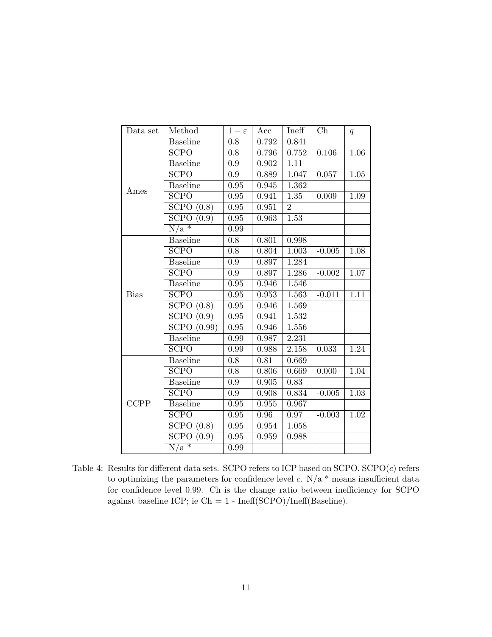| Data set    | Method                         | $1-\varepsilon$   | Acc   | Ineff             | $\mathrm{Ch}$ | q                 |
|-------------|--------------------------------|-------------------|-------|-------------------|---------------|-------------------|
|             | <b>Baseline</b>                | 0.8               | 0.792 | 0.841             |               |                   |
|             | SCPO                           | $\overline{0.8}$  | 0.796 | 0.752             | $0.106\,$     | 1.06              |
|             | <b>Baseline</b>                | 0.9               | 0.902 | 1.11              |               |                   |
|             | SCPO                           | $\overline{0.9}$  | 0.889 | 1.047             | 0.057         | 1.05              |
| Ames        | <b>Baseline</b>                | 0.95              | 0.945 | 1.362             |               |                   |
|             | <b>SCPO</b>                    | 0.95              | 0.941 | 1.35              | 0.009         | 1.09              |
|             | SCPO(0.8)                      | 0.95              | 0.951 | $\overline{2}$    |               |                   |
|             | SCPO(0.9)                      | $\overline{0.95}$ | 0.963 | $\overline{1.53}$ |               |                   |
|             | $\overline{N/a}$ *             | 0.99              |       |                   |               |                   |
|             | <b>Baseline</b>                | 0.8               | 0.801 | 0.998             |               |                   |
|             | $\overline{\text{SCPO}}$       | $\overline{0.8}$  | 0.804 | 1.003             | $-0.005$      | 1.08              |
|             | <b>Baseline</b>                | 0.9               | 0.897 | 1.284             |               |                   |
|             | SCPO                           | $\overline{0.9}$  | 0.897 | 1.286             | $-0.002$      | 1.07              |
|             | <b>Baseline</b>                | 0.95              | 0.946 | 1.546             |               |                   |
| <b>Bias</b> | $S\overline{CPO}$              | 0.95              | 0.953 | 1.563             | $-0.011$      | $\overline{1.11}$ |
|             | SCPO(0.8)                      | 0.95              | 0.946 | 1.569             |               |                   |
|             | SCPO(0.9)                      | $\overline{0.95}$ | 0.941 | 1.532             |               |                   |
|             | SCPO(0.99)                     | 0.95              | 0.946 | 1.556             |               |                   |
|             | <b>Baseline</b>                | 0.99              | 0.987 | 2.231             |               |                   |
|             | <b>SCPO</b>                    | 0.99              | 0.988 | 2.158             | 0.033         | 1.24              |
|             | <b>Baseline</b>                | 0.8               | 0.81  | 0.669             |               |                   |
|             | <b>SCPO</b>                    | $\overline{0.8}$  | 0.806 | 0.669             | 0.000         | 1.04              |
|             | <b>Baseline</b>                | $\overline{0.9}$  | 0.905 | 0.83              |               |                   |
|             | <b>SCPO</b>                    | $\overline{0.9}$  | 0.908 | 0.834             | $-0.005$      | 1.03              |
| <b>CCPP</b> | <b>Baseline</b>                | $\rm 0.95$        | 0.955 | 0.967             |               |                   |
|             | SCPO                           | 0.95              | 0.96  | 0.97              | $-0.003$      | 1.02              |
|             | $\overline{\text{SCPO}}$ (0.8) | 0.95              | 0.954 | 1.058             |               |                   |
|             | $S$ CPO<br>(0.9)               | $\overline{0.95}$ | 0.959 | 0.988             |               |                   |
|             | $\overline{N/a^*}$             | 0.99              |       |                   |               |                   |

<span id="page-10-0"></span>Table 4: Results for different data sets. SCPO refers to ICP based on  $SCPO$ .  $SCPO(c)$  refers to optimizing the parameters for confidence level  $c$ . N/a  $*$  means insufficient data for confidence level 0.99. Ch is the change ratio between inefficiency for SCPO against baseline ICP; ie Ch =  $1$  - Ineff(SCPO)/Ineff(Baseline).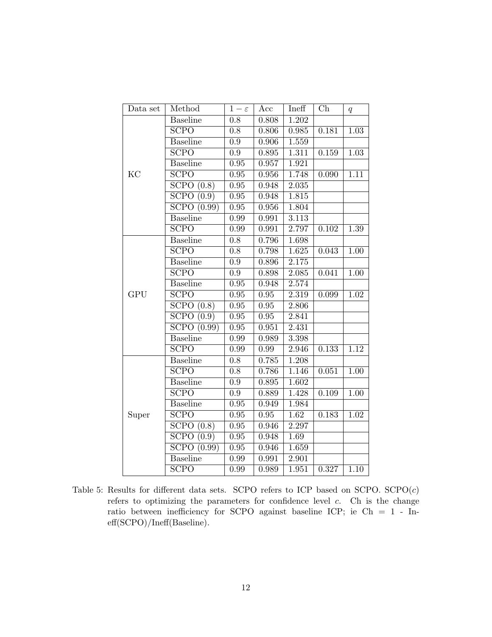| Data set   | Method                   | $1-\varepsilon$   | Acc         | Ineff              | Ch    | q                 |
|------------|--------------------------|-------------------|-------------|--------------------|-------|-------------------|
|            | <b>Baseline</b>          | $\overline{0.8}$  | 0.808       | 1.202              |       |                   |
|            | $S$ CPO                  | 0.8               | 0.806       | 0.985              | 0.181 | 1.03              |
|            | <b>Baseline</b>          | $\overline{0.9}$  | 0.906       | 1.559              |       |                   |
|            | SCPO                     | $\overline{0.9}$  | 0.895       | 1.311              | 0.159 | $\overline{1.03}$ |
|            | <b>Baseline</b>          | 0.95              | 0.957       | 1.921              |       |                   |
| KC         | SCPO                     | $\overline{0.95}$ | $\,0.956\,$ | 1.748              | 0.090 | 1.11              |
|            | SCPO(0.8)                | 0.95              | 0.948       | $\overline{2.035}$ |       |                   |
|            | SCPO(0.9)                | $\overline{0.95}$ | 0.948       | $\overline{1.8}15$ |       |                   |
|            | SCPO(0.99)               | 0.95              | 0.956       | 1.804              |       |                   |
|            | <b>Baseline</b>          | 0.99              | 0.991       | 3.113              |       |                   |
|            | $S$ CPO                  | 0.99              | 0.991       | 2.797              | 0.102 | 1.39              |
|            | <b>Baseline</b>          | 0.8               | 0.796       | 1.698              |       |                   |
|            | $\overline{\text{SCPO}}$ | $\overline{0.8}$  | 0.798       | 1.625              | 0.043 | $\overline{1.00}$ |
|            | <b>Baseline</b>          | $\overline{0.9}$  | 0.896       | 2.175              |       |                   |
|            | <b>SCPO</b>              | $0.9\,$           | 0.898       | 2.085              | 0.041 | 1.00              |
|            | <b>Baseline</b>          | 0.95              | 0.948       | 2.574              |       |                   |
| <b>GPU</b> | $S$ CPO                  | 0.95              | 0.95        | 2.319              | 0.099 | 1.02              |
|            | SCPO(0.8)                | 0.95              | 0.95        | 2.806              |       |                   |
|            | SCPO(0.9)                | 0.95              | $\rm 0.95$  | 2.841              |       |                   |
|            | SCPO(0.99)               | 0.95              | 0.951       | 2.431              |       |                   |
|            | <b>Baseline</b>          | 0.99              | 0.989       | 3.398              |       |                   |
|            | SCPO                     | 0.99              | $0.99\,$    | 2.946              | 0.133 | 1.12              |
|            | <b>Baseline</b>          | 0.8               | 0.785       | 1.208              |       |                   |
|            | $S$ CPO                  | $\overline{0.8}$  | 0.786       | 1.146              | 0.051 | $\overline{1.00}$ |
|            | <b>Baseline</b>          | 0.9               | $\,0.895\,$ | 1.602              |       |                   |
|            | SCPO                     | $\overline{0.9}$  | 0.889       | 1.428              | 0.109 | $\overline{1.00}$ |
|            | <b>Baseline</b>          | 0.95              | 0.949       | 1.984              |       |                   |
| Super      | SCPO                     | $\overline{0.95}$ | $\rm 0.95$  | $\overline{1.62}$  | 0.183 | 1.02              |
|            | SCPO(0.8)                | 0.95              | 0.946       | 2.297              |       |                   |
|            | SCPO(0.9)                | $\overline{0.95}$ | 0.948       | 1.69               |       |                   |
|            | SCPO(0.99)               | 0.95              | 0.946       | 1.659              |       |                   |
|            | <b>Baseline</b>          | 0.99              | 0.991       | 2.901              |       |                   |
|            | SCPO                     | 0.99              | 0.989       | 1.951              | 0.327 | 1.10              |

<span id="page-11-0"></span>Table 5: Results for different data sets. SCPO refers to ICP based on  $SCPO$ .  $SCPO(c)$ refers to optimizing the parameters for confidence level  $c$ . Ch is the change ratio between inefficiency for SCPO against baseline ICP; ie Ch = 1 - Ineff(SCPO)/Ineff(Baseline).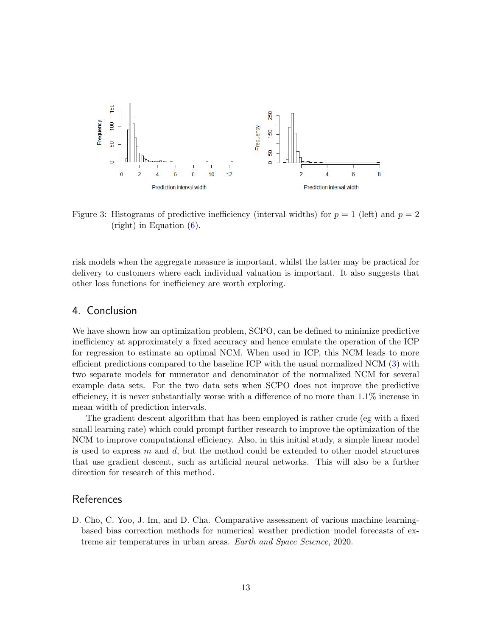

<span id="page-12-2"></span>Figure 3: Histograms of predictive inefficiency (interval widths) for  $p = 1$  (left) and  $p = 2$ (right) in Equation [\(6\)](#page-3-1).

risk models when the aggregate measure is important, whilst the latter may be practical for delivery to customers where each individual valuation is important. It also suggests that other loss functions for inefficiency are worth exploring.

## <span id="page-12-0"></span>4. Conclusion

We have shown how an optimization problem, SCPO, can be defined to minimize predictive inefficiency at approximately a fixed accuracy and hence emulate the operation of the ICP for regression to estimate an optimal NCM. When used in ICP, this NCM leads to more efficient predictions compared to the baseline ICP with the usual normalized NCM [\(3\)](#page-2-3) with two separate models for numerator and denominator of the normalized NCM for several example data sets. For the two data sets when SCPO does not improve the predictive efficiency, it is never substantially worse with a difference of no more than 1.1% increase in mean width of prediction intervals.

The gradient descent algorithm that has been employed is rather crude (eg with a fixed small learning rate) which could prompt further research to improve the optimization of the NCM to improve computational efficiency. Also, in this initial study, a simple linear model is used to express  $m$  and  $d$ , but the method could be extended to other model structures that use gradient descent, such as artificial neural networks. This will also be a further direction for research of this method.

#### References

<span id="page-12-1"></span>D. Cho, C. Yoo, J. Im, and D. Cha. Comparative assessment of various machine learningbased bias correction methods for numerical weather prediction model forecasts of extreme air temperatures in urban areas. Earth and Space Science, 2020.